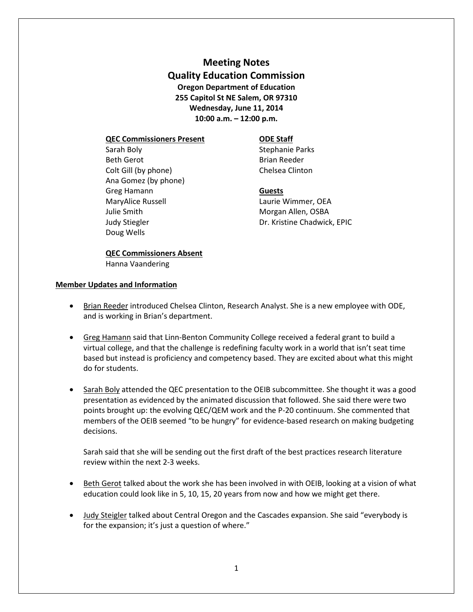**Meeting Notes Quality Education Commission Oregon Department of Education 255 Capitol St NE Salem, OR 97310 Wednesday, June 11, 2014 10:00 a.m. – 12:00 p.m.**

### **QEC Commissioners Present ODE Staff**

Sarah Boly **Sarah Boly** Stephanie Parks Beth Gerot **Brian Reeder** Colt Gill (by phone) Chelsea Clinton Ana Gomez (by phone) Greg Hamann **Guests** MaryAlice Russell **MaryAlice Russell** MaryAlice Russell Laurie Wimmer, OEA Julie Smith **Morgan Allen**, OSBA Doug Wells

Judy Stiegler Dr. Kristine Chadwick, EPIC

# **QEC Commissioners Absent** Hanna Vaandering

## **Member Updates and Information**

- Brian Reeder introduced Chelsea Clinton, Research Analyst. She is a new employee with ODE, and is working in Brian's department.
- Greg Hamann said that Linn-Benton Community College received a federal grant to build a virtual college, and that the challenge is redefining faculty work in a world that isn't seat time based but instead is proficiency and competency based. They are excited about what this might do for students.
- Sarah Boly attended the QEC presentation to the OEIB subcommittee. She thought it was a good presentation as evidenced by the animated discussion that followed. She said there were two points brought up: the evolving QEC/QEM work and the P-20 continuum. She commented that members of the OEIB seemed "to be hungry" for evidence-based research on making budgeting decisions.

Sarah said that she will be sending out the first draft of the best practices research literature review within the next 2-3 weeks.

- Beth Gerot talked about the work she has been involved in with OEIB, looking at a vision of what education could look like in 5, 10, 15, 20 years from now and how we might get there.
- Judy Steigler talked about Central Oregon and the Cascades expansion. She said "everybody is for the expansion; it's just a question of where."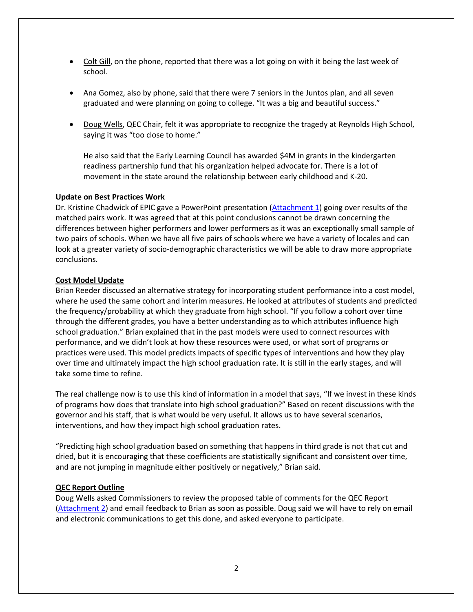- Colt Gill, on the phone, reported that there was a lot going on with it being the last week of school.
- Ana Gomez, also by phone, said that there were 7 seniors in the Juntos plan, and all seven graduated and were planning on going to college. "It was a big and beautiful success."
- Doug Wells, QEC Chair, felt it was appropriate to recognize the tragedy at Reynolds High School, saying it was "too close to home."

He also said that the Early Learning Council has awarded \$4M in grants in the kindergarten readiness partnership fund that his organization helped advocate for. There is a lot of movement in the state around the relationship between early childhood and K-20.

## **Update on Best Practices Work**

Dr. Kristine Chadwick of EPIC gave a PowerPoint presentation (Attachment 1) going over results of the matched pairs work. It was agreed that at this point conclusions cannot be drawn concerning the differences between higher performers and lower performers as it was an exceptionally small sample of two pairs of schools. When we have all five pairs of schools where we have a variety of locales and can look at a greater variety of socio-demographic characteristics we will be able to draw more appropriate conclusions.

## **Cost Model Update**

Brian Reeder discussed an alternative strategy for incorporating student performance into a cost model, where he used the same cohort and interim measures. He looked at attributes of students and predicted the frequency/probability at which they graduate from high school. "If you follow a cohort over time through the different grades, you have a better understanding as to which attributes influence high school graduation." Brian explained that in the past models were used to connect resources with performance, and we didn't look at how these resources were used, or what sort of programs or practices were used. This model predicts impacts of specific types of interventions and how they play over time and ultimately impact the high school graduation rate. It is still in the early stages, and will take some time to refine.

The real challenge now is to use this kind of information in a model that says, "If we invest in these kinds of programs how does that translate into high school graduation?" Based on recent discussions with the governor and his staff, that is what would be very useful. It allows us to have several scenarios, interventions, and how they impact high school graduation rates.

"Predicting high school graduation based on something that happens in third grade is not that cut and dried, but it is encouraging that these coefficients are statistically significant and consistent over time, and are not jumping in magnitude either positively or negatively," Brian said.

#### **QEC Report Outline**

Doug Wells asked Commissioners to review the proposed table of comments for the QEC Report (Attachment 2) and email feedback to Brian as soon as possible. Doug said we will have to rely on email and electronic communications to get this done, and asked everyone to participate.